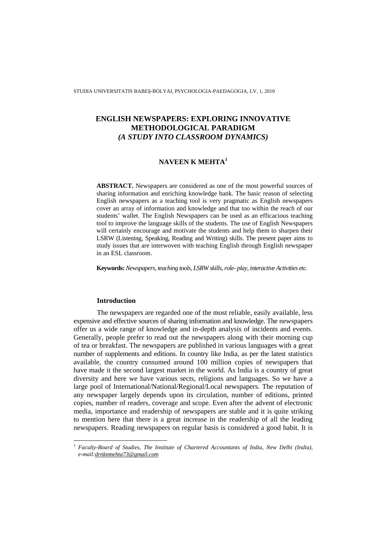STUDIA UNIVERSITATIS BABEŞ-BOLYAI, PSYCHOLOGIA-PAEDAGOGIA, LV, 1, 2010

# **ENGLISH NEWSPAPERS: EXPLORING INNOVATIVE METHODOLOGICAL PARADIGM**  *(A STUDY INTO CLASSROOM DYNAMICS)*

# **NAVEEN K MEHTA<sup>1</sup>**

**ABSTRACT.** Newspapers are considered as one of the most powerful sources of sharing information and enriching knowledge bank. The basic reason of selecting English newspapers as a teaching tool is very pragmatic as English newspapers cover an array of information and knowledge and that too within the reach of our students' wallet. The English Newspapers can be used as an efficacious teaching tool to improve the language skills of the students. The use of English Newspapers will certainly encourage and motivate the students and help them to sharpen their LSRW (Listening, Speaking, Reading and Writing) skills. The present paper aims to study issues that are interwoven with teaching English through English newspaper in an ESL classroom.

**Keywords:** *Newspapers, teaching tools, LSRW skills, role- play, interactive Activities etc.*

### **Introduction**

 $\overline{a}$ 

The newspapers are regarded one of the most reliable, easily available, less expensive and effective sources of sharing information and knowledge. The newspapers offer us a wide range of knowledge and in-depth analysis of incidents and events. Generally, people prefer to read out the newspapers along with their morning cup of tea or breakfast. The newspapers are published in various languages with a great number of supplements and editions. In country like India, as per the latest statistics available, the country consumed around 100 million copies of newspapers that have made it the second largest market in the world. As India is a country of great diversity and here we have various sects, religions and languages. So we have a large pool of International/National/Regional/Local newspapers. The reputation of any newspaper largely depends upon its circulation, number of editions, printed copies, number of readers, coverage and scope. Even after the advent of electronic media, importance and readership of newspapers are stable and it is quite striking to mention here that there is a great increase in the readership of all the leading newspapers. Reading newspapers on regular basis is considered a good habit. It is

<sup>1</sup> *Faculty-Board of Studies, The Institute of Chartered Accountants of India, New Delhi (India), e-mail:drnknmehta73@gmail.com*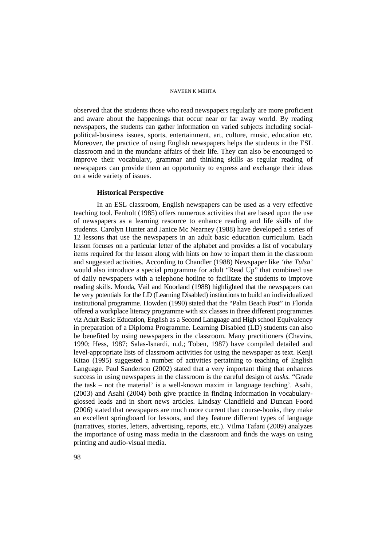observed that the students those who read newspapers regularly are more proficient and aware about the happenings that occur near or far away world. By reading newspapers, the students can gather information on varied subjects including socialpolitical-business issues, sports, entertainment, art, culture, music, education etc. Moreover, the practice of using English newspapers helps the students in the ESL classroom and in the mundane affairs of their life. They can also be encouraged to improve their vocabulary, grammar and thinking skills as regular reading of newspapers can provide them an opportunity to express and exchange their ideas on a wide variety of issues.

### **Historical Perspective**

In an ESL classroom, English newspapers can be used as a very effective teaching tool. Fenholt (1985) offers numerous activities that are based upon the use of newspapers as a learning resource to enhance reading and life skills of the students. Carolyn Hunter and Janice Mc Nearney (1988) have developed a series of 12 lessons that use the newspapers in an adult basic education curriculum. Each lesson focuses on a particular letter of the alphabet and provides a list of vocabulary items required for the lesson along with hints on how to impart them in the classroom and suggested activities. According to Chandler (1988) Newspaper like *'the Tulsa'* would also introduce a special programme for adult "Read Up" that combined use of daily newspapers with a telephone hotline to facilitate the students to improve reading skills. Monda, Vail and Koorland (1988) highlighted that the newspapers can be very potentials for the LD (Learning Disabled) institutions to build an individualized institutional programme. Howden (1990) stated that the "Palm Beach Post" in Florida offered a workplace literacy programme with six classes in three different programmes viz Adult Basic Education, English as a Second Language and High school Equivalency in preparation of a Diploma Programme. Learning Disabled (LD) students can also be benefited by using newspapers in the classroom. Many practitioners (Chavira, 1990; Hess, 1987; Salas-Isnardi, n.d.; Toben, 1987) have compiled detailed and level-appropriate lists of classroom activities for using the newspaper as text. Kenji Kitao (1995) suggested a number of activities pertaining to teaching of English Language. Paul Sanderson (2002) stated that a very important thing that enhances success in using newspapers in the classroom is the careful design of *tasks.* "Grade the task – not the material' is a well-known maxim in language teaching'. Asahi, (2003) and Asahi (2004) both give practice in finding information in vocabularyglossed leads and in short news articles. Lindsay Clandfield and Duncan Foord (2006) stated that newspapers are much more current than course-books, they make an excellent springboard for lessons, and they feature different types of language (narratives, stories, letters, advertising, reports, etc.). Vilma Tafani (2009) analyzes the importance of using mass media in the classroom and finds the ways on using printing and audio-visual media.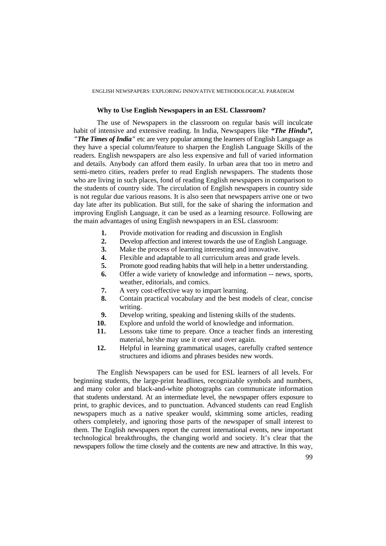### ENGLISH NEWSPAPERS: EXPLORING INNOVATIVE METHODOLOGICAL PARADIGM

### **Why to Use English Newspapers in an ESL Classroom?**

The use of Newspapers in the classroom on regular basis will inculcate habit of intensive and extensive reading. In India, Newspapers like *"The Hindu", "The Times of India"* etc are very popular among the learners of English Language as they have a special column/feature to sharpen the English Language Skills of the readers. English newspapers are also less expensive and full of varied information and details. Anybody can afford them easily. In urban area that too in metro and semi-metro cities, readers prefer to read English newspapers. The students those who are living in such places, fond of reading English newspapers in comparison to the students of country side. The circulation of English newspapers in country side is not regular due various reasons. It is also seen that newspapers arrive one or two day late after its publication. But still, for the sake of sharing the information and improving English Language, it can be used as a learning resource. Following are the main advantages of using English newspapers in an ESL classroom:

- **1.** Provide motivation for reading and discussion in English
- **2.** Develop affection and interest towards the use of English Language.
- **3.** Make the process of learning interesting and innovative.
- **4.** Flexible and adaptable to all curriculum areas and grade levels.
- **5.** Promote good reading habits that will help in a better understanding.
- **6.** Offer a wide variety of knowledge and information -- news, sports, weather, editorials, and comics.
- **7.** A very cost-effective way to impart learning.
- **8.** Contain practical vocabulary and the best models of clear, concise writing.
- **9.** Develop writing, speaking and listening skills of the students.
- **10.** Explore and unfold the world of knowledge and information.
- **11.** Lessons take time to prepare. Once a teacher finds an interesting material, he/she may use it over and over again.
- **12.** Helpful in learning grammatical usages, carefully crafted sentence structures and idioms and phrases besides new words.

The English Newspapers can be used for ESL learners of all levels. For beginning students, the large-print headlines, recognizable symbols and numbers, and many color and black-and-white photographs can communicate information that students understand. At an intermediate level, the newspaper offers exposure to print, to graphic devices, and to punctuation. Advanced students can read English newspapers much as a native speaker would, skimming some articles, reading others completely, and ignoring those parts of the newspaper of small interest to them. The English newspapers report the current international events, new important technological breakthroughs, the changing world and society. It's clear that the newspapers follow the time closely and the contents are new and attractive. In this way,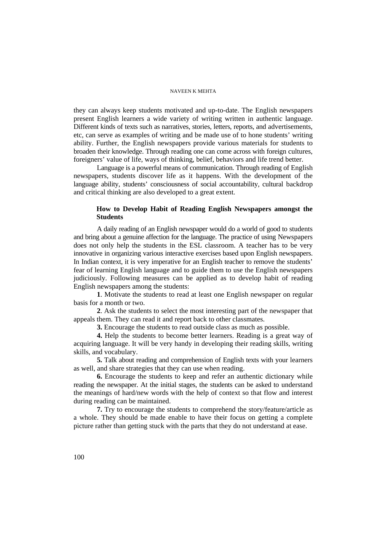they can always keep students motivated and up-to-date. The English newspapers present English learners a wide variety of writing written in authentic language. Different kinds of texts such as narratives, stories, letters, reports, and advertisements, etc, can serve as examples of writing and be made use of to hone students' writing ability. Further, the English newspapers provide various materials for students to broaden their knowledge. Through reading one can come across with foreign cultures, foreigners' value of life, ways of thinking, belief, behaviors and life trend better.

Language is a powerful means of communication. Through reading of English newspapers, students discover life as it happens. With the development of the language ability, students' consciousness of social accountability, cultural backdrop and critical thinking are also developed to a great extent.

# **How to Develop Habit of Reading English Newspapers amongst the Students**

A daily reading of an English newspaper would do a world of good to students and bring about a genuine affection for the language. The practice of using Newspapers does not only help the students in the ESL classroom. A teacher has to be very innovative in organizing various interactive exercises based upon English newspapers. In Indian context, it is very imperative for an English teacher to remove the students' fear of learning English language and to guide them to use the English newspapers judiciously. Following measures can be applied as to develop habit of reading English newspapers among the students:

**1**. Motivate the students to read at least one English newspaper on regular basis for a month or two.

**2**. Ask the students to select the most interesting part of the newspaper that appeals them. They can read it and report back to other classmates.

**3.** Encourage the students to read outside class as much as possible.

**4.** Help the students to become better learners. Reading is a great way of acquiring language. It will be very handy in developing their reading skills, writing skills, and vocabulary.

**5.** Talk about reading and comprehension of English texts with your learners as well, and share strategies that they can use when reading.

**6.** Encourage the students to keep and refer an authentic dictionary while reading the newspaper. At the initial stages, the students can be asked to understand the meanings of hard/new words with the help of context so that flow and interest during reading can be maintained.

**7.** Try to encourage the students to comprehend the story/feature/article as a whole. They should be made enable to have their focus on getting a complete picture rather than getting stuck with the parts that they do not understand at ease.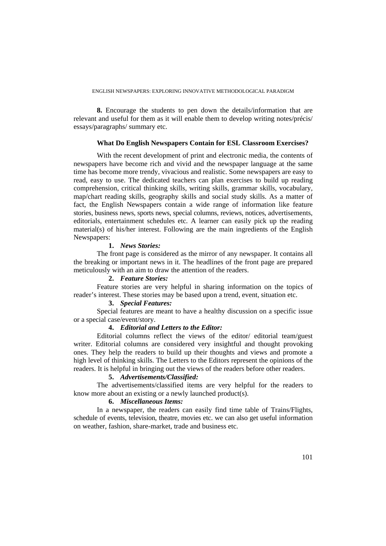**8.** Encourage the students to pen down the details/information that are relevant and useful for them as it will enable them to develop writing notes/précis/ essays/paragraphs/ summary etc.

### **What Do English Newspapers Contain for ESL Classroom Exercises?**

With the recent development of print and electronic media, the contents of newspapers have become rich and vivid and the newspaper language at the same time has become more trendy, vivacious and realistic. Some newspapers are easy to read, easy to use. The dedicated teachers can plan exercises to build up reading comprehension, critical thinking skills, writing skills, grammar skills, vocabulary, map/chart reading skills, geography skills and social study skills. As a matter of fact, the English Newspapers contain a wide range of information like feature stories, business news, sports news, special columns, reviews, notices, advertisements, editorials, entertainment schedules etc. A learner can easily pick up the reading material(s) of his/her interest. Following are the main ingredients of the English Newspapers:

### **1.** *News Stories:*

The front page is considered as the mirror of any newspaper. It contains all the breaking or important news in it. The headlines of the front page are prepared meticulously with an aim to draw the attention of the readers.

### **2.** *Feature Stories:*

Feature stories are very helpful in sharing information on the topics of reader's interest. These stories may be based upon a trend, event, situation etc.

# **3.** *Special Features:*

Special features are meant to have a healthy discussion on a specific issue or a special case/event/story.

### **4.** *Editorial and Letters to the Editor:*

Editorial columns reflect the views of the editor/ editorial team/guest writer. Editorial columns are considered very insightful and thought provoking ones. They help the readers to build up their thoughts and views and promote a high level of thinking skills. The Letters to the Editors represent the opinions of the readers. It is helpful in bringing out the views of the readers before other readers.

### **5.** *Advertisements/Classified:*

The advertisements/classified items are very helpful for the readers to know more about an existing or a newly launched product(s).

# **6.** *Miscellaneous Items:*

In a newspaper, the readers can easily find time table of Trains/Flights, schedule of events, television, theatre, movies etc. we can also get useful information on weather, fashion, share-market, trade and business etc.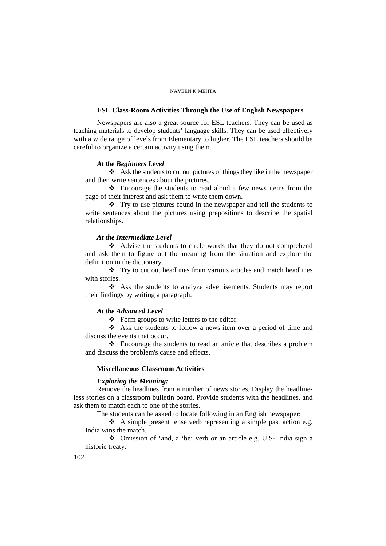### **ESL Class-Room Activities Through the Use of English Newspapers**

Newspapers are also a great source for ESL teachers. They can be used as teaching materials to develop students' language skills. They can be used effectively with a wide range of levels from Elementary to higher. The ESL teachers should be careful to organize a certain activity using them.

#### *At the Beginners Level*

 Ask the students to cut out pictures of things they like in the newspaper and then write sentences about the pictures.

 Encourage the students to read aloud a few news items from the page of their interest and ask them to write them down.

 $\mathbf{\hat{P}}$  Try to use pictures found in the newspaper and tell the students to write sentences about the pictures using prepositions to describe the spatial relationships.

# *At the Intermediate Level*

 Advise the students to circle words that they do not comprehend and ask them to figure out the meaning from the situation and explore the definition in the dictionary.

 $\mathbf{\hat{P}}$  Try to cut out headlines from various articles and match headlines with stories.

 Ask the students to analyze advertisements. Students may report their findings by writing a paragraph.

### *At the Advanced Level*

Form groups to write letters to the editor.

 Ask the students to follow a news item over a period of time and discuss the events that occur.

 Encourage the students to read an article that describes a problem and discuss the problem's cause and effects.

# **Miscellaneous Classroom Activities**

### *Exploring the Meaning:*

Remove the headlines from a number of news stories. Display the headlineless stories on a classroom bulletin board. Provide students with the headlines, and ask them to match each to one of the stories.

The students can be asked to locate following in an English newspaper:

 $\triangle$  A simple present tense verb representing a simple past action e.g. India wins the match.

 Omission of 'and, a 'be' verb or an article e.g. U.S- India sign a historic treaty.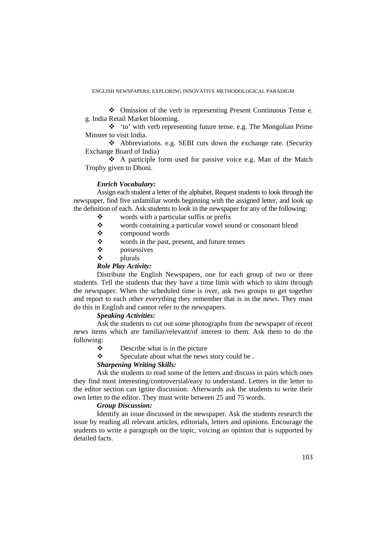### ENGLISH NEWSPAPERS: EXPLORING INNOVATIVE METHODOLOGICAL PARADIGM

 Omission of the verb in representing Present Continuous Tense e. g. India Retail Market blooming.

 'to' with verb representing future tense. e.g. The Mongolian Prime Minster to visit India.

 Abbreviations. e.g. SEBI cuts down the exchange rate. (Security Exchange Board of India)

 A participle form used for passive voice e.g. Man of the Match Trophy given to Dhoni.

### *Enrich Vocabulary:*

Assign each student a letter of the alphabet. Request students to look through the newspaper, find five unfamiliar words beginning with the assigned letter, and look up the definition of each. Ask students to look in the newspaper for any of the following:

- $\diamondsuit$  words with a particular suffix or prefix words containing a particular vowel so
- words containing a particular vowel sound or consonant blend
- $\mathbf{\hat{\cdot}}$  compound words
- words in the past, present, and future tenses
- possessives
- $\triangleleft$  plurals

# *Role Play Activity:*

Distribute the English Newspapers, one for each group of two or three students. Tell the students that they have a time limit with which to skim through the newspaper. When the scheduled time is over, ask two groups to get together and report to each other everything they remember that is in the news. They must do this in English and cannot refer to the newspapers.

### *Speaking Activities:*

Ask the students to cut out some photographs from the newspaper of recent news items which are familiar/relevant/of interest to them. Ask them to do the following:

- $\triangle$  Describe what is in the picture
- Speculate about what the news story could be .

# *Sharpening Writing Skills:*

Ask the students to read some of the letters and discuss in pairs which ones they find most interesting/controversial/easy to understand. Letters in the letter to the editor section can ignite discussion. Afterwards ask the students to write their own letter to the editor. They must write between 25 and 75 words.

### *Group Discussion:*

Identify an issue discussed in the newspaper. Ask the students research the issue by reading all relevant articles, editorials, letters and opinions. Encourage the students to write a paragraph on the topic, voicing an opinion that is supported by detailed facts.